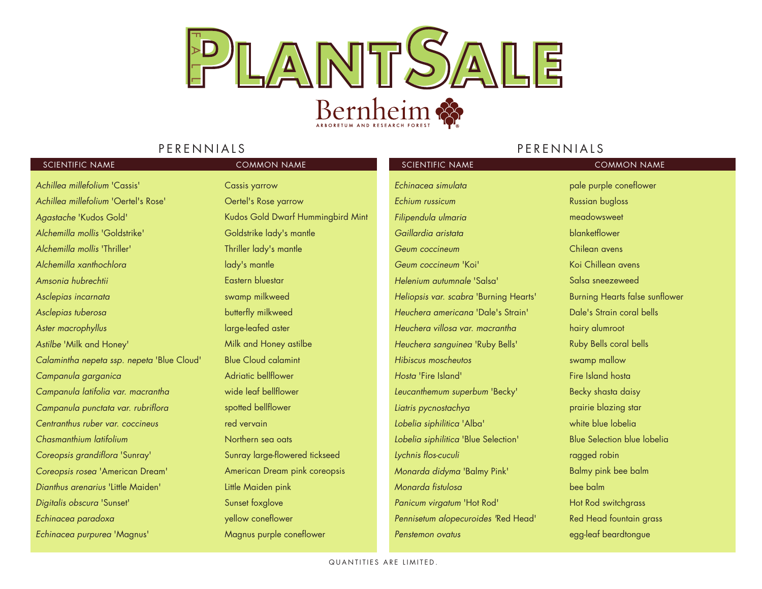

### PERENNIALS

### PERENNIALS

| SCIENTIFIC NAME                            | <b>COMMON NAME</b>                | SCIENTIFIC NAME                        | <b>COMMON NAME</b>                    |
|--------------------------------------------|-----------------------------------|----------------------------------------|---------------------------------------|
| Achillea millefolium 'Cassis'              | <b>Cassis yarrow</b>              | Echinacea simulata                     | pale purple coneflower                |
| Achillea millefolium 'Oertel's Rose'       | Oertel's Rose yarrow              | Echium russicum                        | <b>Russian bugloss</b>                |
| Agastache 'Kudos Gold'                     | Kudos Gold Dwarf Hummingbird Mint | Filipendula ulmaria                    | meadowsweet                           |
| Alchemilla mollis 'Goldstrike'             | Goldstrike lady's mantle          | Gaillardia aristata                    | blanketflower                         |
| Alchemilla mollis 'Thriller'               | Thriller lady's mantle            | Geum coccineum                         | Chilean avens                         |
| Alchemilla xanthochlora                    | lady's mantle                     | Geum coccineum 'Koi'                   | Koi Chillean avens                    |
| Amsonia hubrechtii                         | Eastern bluestar                  | Helenium autumnale 'Salsa'             | Salsa sneezeweed                      |
| Asclepias incarnata                        | swamp milkweed                    | Heliopsis var. scabra 'Burning Hearts' | <b>Burning Hearts false sunflower</b> |
| Asclepias tuberosa                         | butterfly milkweed                | Heuchera americana 'Dale's Strain'     | Dale's Strain coral bells             |
| Aster macrophyllus                         | large-leafed aster                | Heuchera villosa var. macrantha        | hairy alumroot                        |
| Astilbe 'Milk and Honey'                   | Milk and Honey astilbe            | Heuchera sanguinea 'Ruby Bells'        | Ruby Bells coral bells                |
| Calamintha nepeta ssp. nepeta 'Blue Cloud' | <b>Blue Cloud calamint</b>        | Hibiscus moscheutos                    | swamp mallow                          |
| Campanula garganica                        | Adriatic bellflower               | Hosta 'Fire Island'                    | Fire Island hosta                     |
| Campanula latifolia var. macrantha         | wide leaf bellflower              | Leucanthemum superbum 'Becky'          | Becky shasta daisy                    |
| Campanula punctata var. rubriflora         | spotted bellflower                | Liatris pycnostachya                   | prairie blazing star                  |
| Centranthus ruber var. coccineus           | red vervain                       | Lobelia siphilitica 'Alba'             | white blue lobelia                    |
| Chasmanthium latifolium                    | Northern sea oats                 | Lobelia siphilitica 'Blue Selection'   | <b>Blue Selection blue lobelia</b>    |
| Coreopsis grandiflora 'Sunray'             | Sunray large-flowered tickseed    | Lychnis flos-cuculi                    | ragged robin                          |
| Coreopsis rosea 'American Dream'           | American Dream pink coreopsis     | Monarda didyma 'Balmy Pink'            | Balmy pink bee balm                   |
| Dianthus arenarius 'Little Maiden'         | Little Maiden pink                | Monarda fistulosa                      | bee balm                              |
| Digitalis obscura 'Sunset'                 | Sunset foxglove                   | Panicum virgatum 'Hot Rod'             | Hot Rod switchgrass                   |
| Echinacea paradoxa                         | yellow coneflower                 | Pennisetum alopecuroides 'Red Head'    | Red Head fountain grass               |
| Echinacea purpurea 'Magnus'                | Magnus purple coneflower          | Penstemon ovatus                       | egg-leaf beardtongue                  |